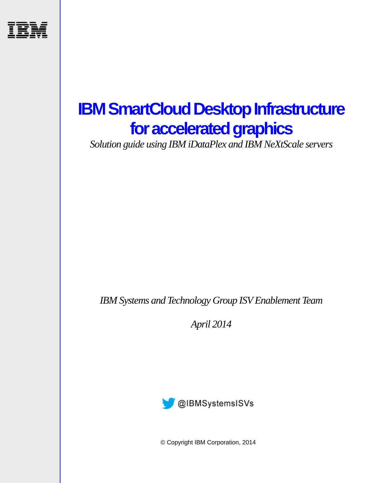

# **IBM SmartCloud Desktop Infrastructure for accelerated graphics**

*Solution guide using IBM iDataPlex and IBM NeXtScale servers*

*IBM Systems and Technology Group ISV Enablement Team* 

*April 2014* 



© Copyright IBM Corporation, 2014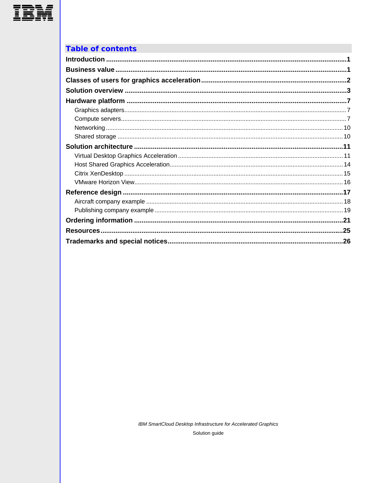

### **Table of contents**

| .26 |
|-----|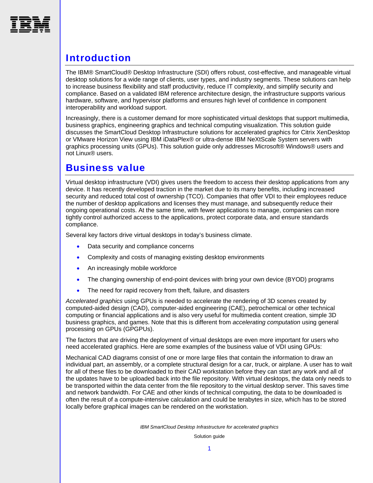<span id="page-2-0"></span>

# Introduction

The IBM® SmartCloud® Desktop Infrastructure (SDI) offers robust, cost-effective, and manageable virtual desktop solutions for a wide range of clients, user types, and industry segments. These solutions can help to increase business flexibility and staff productivity, reduce IT complexity, and simplify security and compliance. Based on a validated IBM reference architecture design, the infrastructure supports various hardware, software, and hypervisor platforms and ensures high level of confidence in component interoperability and workload support.

Increasingly, there is a customer demand for more sophisticated virtual desktops that support multimedia, business graphics, engineering graphics and technical computing visualization. This solution guide discusses the SmartCloud Desktop Infrastructure solutions for accelerated graphics for Citrix XenDesktop or VMware Horizon View using IBM iDataPlex® or ultra-dense IBM NeXtScale System servers with graphics processing units (GPUs). This solution guide only addresses Microsoft® Windows® users and not Linux® users.

### <span id="page-2-1"></span>Business value

Virtual desktop infrastructure (VDI) gives users the freedom to access their desktop applications from any device. It has recently developed traction in the market due to its many benefits, including increased security and reduced total cost of ownership (TCO). Companies that offer VDI to their employees reduce the number of desktop applications and licenses they must manage, and subsequently reduce their ongoing operational costs. At the same time, with fewer applications to manage, companies can more tightly control authorized access to the applications, protect corporate data, and ensure standards compliance.

Several key factors drive virtual desktops in today's business climate.

- Data security and compliance concerns
- Complexity and costs of managing existing desktop environments
- An increasingly mobile workforce
- The changing ownership of end-point devices with bring your own device (BYOD) programs
- The need for rapid recovery from theft, failure, and disasters

*Accelerated graphics* using GPUs is needed to accelerate the rendering of 3D scenes created by computed-aided design (CAD), computer-aided engineering (CAE), petrochemical or other technical computing or financial applications and is also very useful for multimedia content creation, simple 3D business graphics, and games. Note that this is different from *accelerating computation* using general processing on GPUs (GPGPUs).

The factors that are driving the deployment of virtual desktops are even more important for users who need accelerated graphics. Here are some examples of the business value of VDI using GPUs:

Mechanical CAD diagrams consist of one or more large files that contain the information to draw an individual part, an assembly, or a complete structural design for a car, truck, or airplane. A user has to wait for all of these files to be downloaded to their CAD workstation before they can start any work and all of the updates have to be uploaded back into the file repository. With virtual desktops, the data only needs to be transported within the data center from the file repository to the virtual desktop server. This saves time and network bandwidth. For CAE and other kinds of technical computing, the data to be downloaded is often the result of a compute-intensive calculation and could be terabytes in size, which has to be stored locally before graphical images can be rendered on the workstation.

*IBM SmartCloud Desktop Infrastructure for accelerated graphics*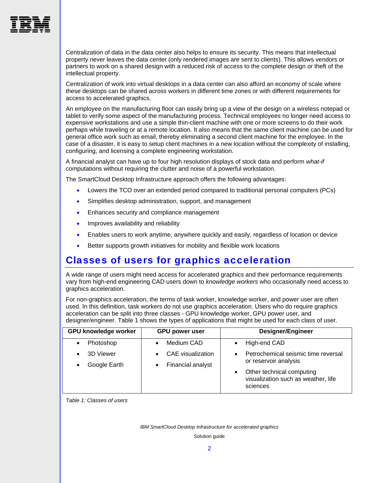

Centralization of data in the data center also helps to ensure its security. This means that intellectual property never leaves the data center (only rendered images are sent to clients). This allows vendors or partners to work on a shared design with a reduced risk of access to the complete design or theft of the intellectual property.

Centralization of work into virtual desktops in a data center can also afford an economy of scale where these desktops can be shared across workers in different time zones or with different requirements for access to accelerated graphics.

An employee on the manufacturing floor can easily bring up a view of the design on a wireless notepad or tablet to verify some aspect of the manufacturing process. Technical employees no longer need access to expensive workstations and use a simple thin-client machine with one or more screens to do their work perhaps while traveling or at a remote location. It also means that the same client machine can be used for general office work such as email, thereby eliminating a second client machine for the employee. In the case of a disaster, it is easy to setup client machines in a new location without the complexity of installing, configuring, and licensing a complete engineering workstation.

A financial analyst can have up to four high resolution displays of stock data and perform *what-if* computations without requiring the clutter and noise of a powerful workstation.

The SmartCloud Desktop Infrastructure approach offers the following advantages:

- Lowers the TCO over an extended period compared to traditional personal computers (PCs)
- Simplifies desktop administration, support, and management
- **Enhances security and compliance management**
- **Improves availability and reliability**
- Enables users to work anytime, anywhere quickly and easily, regardless of location or device
- Better supports growth initiatives for mobility and flexible work locations

### <span id="page-3-0"></span>Classes of users for graphics acceleration

A wide range of users might need access for accelerated graphics and their performance requirements vary from high-end engineering CAD users down to *knowledge workers* who occasionally need access to graphics acceleration.

For non-graphics acceleration, the terms of task worker, knowledge worker, and power user are often used. In this definition, task workers do not use graphics acceleration. Users who do require graphics acceleration can be split into three classes - GPU knowledge worker, GPU power user, and designer/engineer. [Table 1](#page-3-1) shows the types of applications that might be used for each class of user.

| <b>GPU knowledge worker</b> | <b>GPU power user</b>                  | <b>Designer/Engineer</b>                                                                  |
|-----------------------------|----------------------------------------|-------------------------------------------------------------------------------------------|
| Photoshop                   | Medium CAD                             | High-end CAD<br>$\bullet$                                                                 |
| 3D Viewer<br>Google Earth   | CAE visualization<br>Financial analyst | Petrochemical seismic time reversal<br>$\bullet$<br>or reservoir analysis                 |
|                             |                                        | Other technical computing<br>$\bullet$<br>visualization such as weather, life<br>sciences |

<span id="page-3-1"></span>*Table 1: Classes of users* 

*IBM SmartCloud Desktop Infrastructure for accelerated graphics*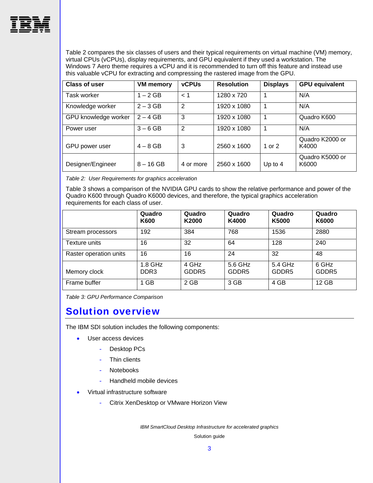

[Table 2](#page-4-1) compares the six classes of users and their typical requirements on virtual machine (VM) memory, virtual CPUs (vCPUs), display requirements, and GPU equivalent if they used a workstation. The Windows 7 Aero theme requires a vCPU and it is recommended to turn off this feature and instead use this valuable vCPU for extracting and compressing the rastered image from the GPU.

| <b>Class of user</b> | <b>VM</b> memory | <b>vCPUs</b>  | <b>Resolution</b> | <b>Displays</b> | <b>GPU equivalent</b>    |
|----------------------|------------------|---------------|-------------------|-----------------|--------------------------|
| Task worker          | $1 - 2$ GB       | < 1           | 1280 x 720        |                 | N/A                      |
| Knowledge worker     | $2 - 3$ GB       | $\mathcal{P}$ | 1920 x 1080       |                 | N/A                      |
| GPU knowledge worker | $2 - 4$ GB       | 3             | 1920 x 1080       | 1               | Quadro K600              |
| Power user           | $3 - 6$ GB       | 2             | 1920 x 1080       | 1               | N/A                      |
| GPU power user       | $4 - 8$ GB       | 3             | 2560 x 1600       | 1 or $2$        | Quadro K2000 or<br>K4000 |
| Designer/Engineer    | $8 - 16$ GB      | 4 or more     | 2560 x 1600       | Up to $4$       | Quadro K5000 or<br>K6000 |

<span id="page-4-1"></span>*Table 2: User Requirements for graphics acceleration* 

[Table 3](#page-4-2) shows a comparison of the NVIDIA GPU cards to show the relative performance and power of the Quadro K600 through Quadro K6000 devices, and therefore, the typical graphics acceleration requirements for each class of user.

|                        | Quadro<br>K600              | Quadro<br>K2000            | Quadro<br>K4000              | Quadro<br>K5000              | Quadro<br>K6000            |
|------------------------|-----------------------------|----------------------------|------------------------------|------------------------------|----------------------------|
| Stream processors      | 192                         | 384                        | 768                          | 1536                         | 2880                       |
| Texture units          | 16                          | 32                         | 64                           | 128                          | 240                        |
| Raster operation units | 16                          | 16                         | 24                           | 32                           | 48                         |
| Memory clock           | 1.8 GHz<br>DDR <sub>3</sub> | 4 GHz<br>GDDR <sub>5</sub> | 5.6 GHz<br>GDDR <sub>5</sub> | 5.4 GHz<br>GDDR <sub>5</sub> | 6 GHz<br>GDDR <sub>5</sub> |
| Frame buffer           | 1 GB                        | 2 GB                       | 3 GB                         | 4 GB                         | 12 GB                      |

<span id="page-4-2"></span>*Table 3: GPU Performance Comparison* 

### <span id="page-4-0"></span>Solution overview

The IBM SDI solution includes the following components:

- User access devices
	- Desktop PCs
	- Thin clients
	- Notebooks
	- Handheld mobile devices
- Virtual infrastructure software
	- Citrix XenDesktop or VMware Horizon View

*IBM SmartCloud Desktop Infrastructure for accelerated graphics*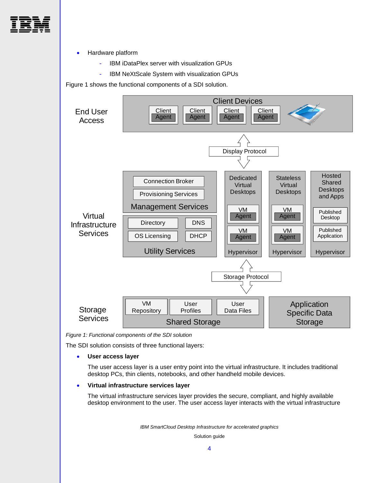

Hardware platform

- IBM iDataPlex server with visualization GPUs
- IBM NeXtScale System with visualization GPUs

[Figure 1](#page-5-0) shows the functional components of a SDI solution.



*Figure 1: Functional components of the SDI solution* 

<span id="page-5-0"></span>The SDI solution consists of three functional layers:

**User access layer** 

The user access layer is a user entry point into the virtual infrastructure. It includes traditional desktop PCs, thin clients, notebooks, and other handheld mobile devices.

#### **Virtual infrastructure services layer**

The virtual infrastructure services layer provides the secure, compliant, and highly available desktop environment to the user. The user access layer interacts with the virtual infrastructure

*IBM SmartCloud Desktop Infrastructure for accelerated graphics*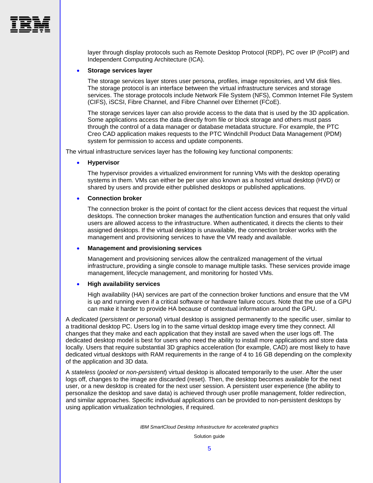

layer through display protocols such as Remote Desktop Protocol (RDP), PC over IP (PcoIP) and Independent Computing Architecture (ICA).

#### **Storage services layer**

The storage services layer stores user persona, profiles, image repositories, and VM disk files. The storage protocol is an interface between the virtual infrastructure services and storage services. The storage protocols include Network File System (NFS), Common Internet File System (CIFS), iSCSI, Fibre Channel, and Fibre Channel over Ethernet (FCoE).

The storage services layer can also provide access to the data that is used by the 3D application. Some applications access the data directly from file or block storage and others must pass through the control of a data manager or database metadata structure. For example, the PTC Creo CAD application makes requests to the PTC Windchill Product Data Management (PDM) system for permission to access and update components.

The virtual infrastructure services layer has the following key functional components:

#### **Hypervisor**

The hypervisor provides a virtualized environment for running VMs with the desktop operating systems in them. VMs can either be per user also known as a hosted virtual desktop (HVD) or shared by users and provide either published desktops or published applications.

#### **Connection broker**

The connection broker is the point of contact for the client access devices that request the virtual desktops. The connection broker manages the authentication function and ensures that only valid users are allowed access to the infrastructure. When authenticated, it directs the clients to their assigned desktops. If the virtual desktop is unavailable, the connection broker works with the management and provisioning services to have the VM ready and available.

#### **Management and provisioning services**

Management and provisioning services allow the centralized management of the virtual infrastructure, providing a single console to manage multiple tasks. These services provide image management, lifecycle management, and monitoring for hosted VMs.

#### **High availability services**

High availability (HA) services are part of the connection broker functions and ensure that the VM is up and running even if a critical software or hardware failure occurs. Note that the use of a GPU can make it harder to provide HA because of contextual information around the GPU.

A *dedicated* (*persistent* or *personal*) virtual desktop is assigned permanently to the specific user, similar to a traditional desktop PC. Users log in to the same virtual desktop image every time they connect. All changes that they make and each application that they install are saved when the user logs off. The dedicated desktop model is best for users who need the ability to install more applications and store data locally. Users that require substantial 3D graphics acceleration (for example, CAD) are most likely to have dedicated virtual desktops with RAM requirements in the range of 4 to 16 GB depending on the complexity of the application and 3D data.

A *stateless* (*pooled* or *non-persistent*) virtual desktop is allocated temporarily to the user. After the user logs off, changes to the image are discarded (reset). Then, the desktop becomes available for the next user, or a new desktop is created for the next user session. A persistent user experience (the ability to personalize the desktop and save data) is achieved through user profile management, folder redirection, and similar approaches. Specific individual applications can be provided to non-persistent desktops by using application virtualization technologies, if required.

*IBM SmartCloud Desktop Infrastructure for accelerated graphics*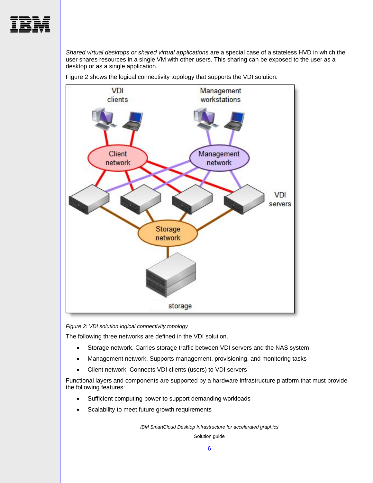

*Shared virtual desktops or shared virtual applications* are a special case of a stateless HVD in which the user shares resources in a single VM with other users. This sharing can be exposed to the user as a desktop or as a single application.



[Figure 2](#page-7-0) shows the logical connectivity topology that supports the VDI solution.

*Figure 2: VDI solution logical connectivity topology* 

<span id="page-7-0"></span>The following three networks are defined in the VDI solution.

- Storage network. Carries storage traffic between VDI servers and the NAS system
- Management network. Supports management, provisioning, and monitoring tasks
- Client network. Connects VDI clients (users) to VDI servers

Functional layers and components are supported by a hardware infrastructure platform that must provide the following features:

- Sufficient computing power to support demanding workloads
- Scalability to meet future growth requirements

*IBM SmartCloud Desktop Infrastructure for accelerated graphics*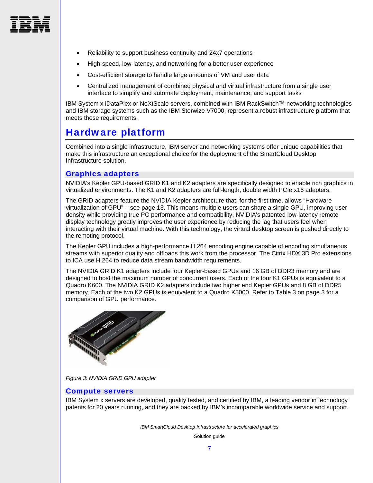

- Reliability to support business continuity and 24x7 operations
- High-speed, low-latency, and networking for a better user experience
- Cost-efficient storage to handle large amounts of VM and user data
- Centralized management of combined physical and virtual infrastructure from a single user interface to simplify and automate deployment, maintenance, and support tasks

IBM System x iDataPlex or NeXtScale servers, combined with IBM RackSwitch™ networking technologies and IBM storage systems such as the IBM Storwize V7000, represent a robust infrastructure platform that meets these requirements.

### <span id="page-8-0"></span>Hardware platform

Combined into a single infrastructure, IBM server and networking systems offer unique capabilities that make this infrastructure an exceptional choice for the deployment of the SmartCloud Desktop Infrastructure solution.

#### <span id="page-8-1"></span>Graphics adapters

NVIDIA's Kepler GPU-based GRID K1 and K2 adapters are specifically designed to enable rich graphics in virtualized environments. The K1 and K2 adapters are full-length, double width PCIe x16 adapters.

The GRID adapters feature the NVIDIA Kepler architecture that, for the first time, allows "[Hardware](#page-14-0)  [virtualization of GPU](#page-14-0)" – see page [13.](#page-14-0) This means multiple users can share a single GPU, improving user density while providing true PC performance and compatibility. NVIDIA's patented low-latency remote display technology greatly improves the user experience by reducing the lag that users feel when interacting with their virtual machine. With this technology, the virtual desktop screen is pushed directly to the remoting protocol.

The Kepler GPU includes a high-performance H.264 encoding engine capable of encoding simultaneous streams with superior quality and offloads this work from the processor. The Citrix HDX 3D Pro extensions to ICA use H.264 to reduce data stream bandwidth requirements.

The NVIDIA GRID K1 adapters include four Kepler-based GPUs and 16 GB of DDR3 memory and are designed to host the maximum number of concurrent users. Each of the four K1 GPUs is equivalent to a Quadro K600. The NVIDIA GRID K2 adapters include two higher end Kepler GPUs and 8 GB of DDR5 memory. Each of the two K2 GPUs is equivalent to a Quadro K5000. Refer to [Table 3](#page-4-2) on page [3](#page-4-2) for a comparison of GPU performance.



*Figure 3: NVIDIA GRID GPU adapter* 

#### <span id="page-8-2"></span>Compute servers

IBM System x servers are developed, quality tested, and certified by IBM, a leading vendor in technology patents for 20 years running, and they are backed by IBM's incomparable worldwide service and support.

*IBM SmartCloud Desktop Infrastructure for accelerated graphics*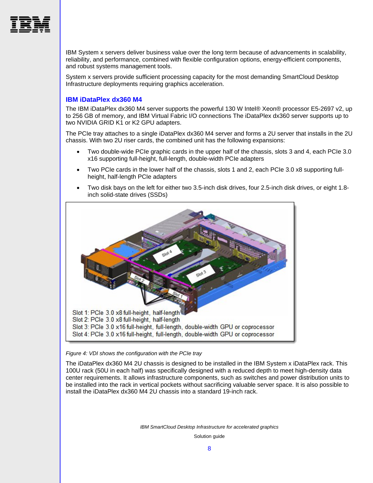

IBM System x servers deliver business value over the long term because of advancements in scalability, reliability, and performance, combined with flexible configuration options, energy-efficient components, and robust systems management tools.

System x servers provide sufficient processing capacity for the most demanding SmartCloud Desktop Infrastructure deployments requiring graphics acceleration.

#### **IBM iDataPlex dx360 M4**

The IBM iDataPlex dx360 M4 server supports the powerful 130 W Intel® Xeon® processor E5-2697 v2, up to 256 GB of memory, and IBM Virtual Fabric I/O connections The iDataPlex dx360 server supports up to two NVIDIA GRID K1 or K2 GPU adapters.

The PCIe tray attaches to a single iDataPlex dx360 M4 server and forms a 2U server that installs in the 2U chassis. With two 2U riser cards, the combined unit has the following expansions:

- Two double-wide PCIe graphic cards in the upper half of the chassis, slots 3 and 4, each PCIe 3.0 x16 supporting full-height, full-length, double-width PCIe adapters
- Two PCIe cards in the lower half of the chassis, slots 1 and 2, each PCIe 3.0 x8 supporting fullheight, half-length PCIe adapters
- Two disk bays on the left for either two 3.5-inch disk drives, four 2.5-inch disk drives, or eight 1.8 inch solid-state drives (SSDs)



#### *Figure 4: VDI shows the configuration with the PCIe tray*

The iDataPlex dx360 M4 2U chassis is designed to be installed in the IBM System x iDataPlex rack. This 100U rack (50U in each half) was specifically designed with a reduced depth to meet high-density data center requirements. It allows infrastructure components, such as switches and power distribution units to be installed into the rack in vertical pockets without sacrificing valuable server space. It is also possible to install the iDataPlex dx360 M4 2U chassis into a standard 19-inch rack.

*IBM SmartCloud Desktop Infrastructure for accelerated graphics*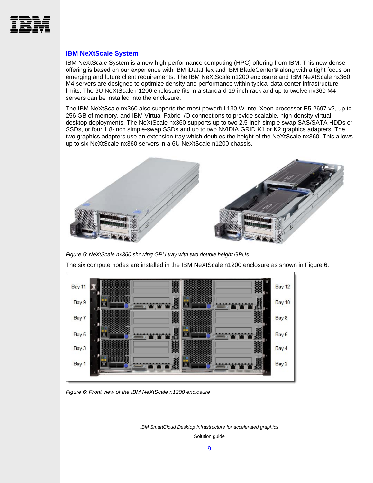

#### **IBM NeXtScale System**

IBM NeXtScale System is a new high-performance computing (HPC) offering from IBM. This new dense offering is based on our experience with IBM iDataPlex and IBM BladeCenter® along with a tight focus on emerging and future client requirements. The IBM NeXtScale n1200 enclosure and IBM NeXtScale nx360 M4 servers are designed to optimize density and performance within typical data center infrastructure limits. The 6U NeXtScale n1200 enclosure fits in a standard 19-inch rack and up to twelve nx360 M4 servers can be installed into the enclosure.

The IBM NeXtScale nx360 also supports the most powerful 130 W Intel Xeon processor E5-2697 v2, up to 256 GB of memory, and IBM Virtual Fabric I/O connections to provide scalable, high-density virtual desktop deployments. The NeXtScale nx360 supports up to two 2.5-inch simple swap SAS/SATA HDDs or SSDs, or four 1.8-inch simple-swap SSDs and up to two NVIDIA GRID K1 or K2 graphics adapters. The two graphics adapters use an extension tray which doubles the height of the NeXtScale nx360. This allows up to six NeXtScale nx360 servers in a 6U NeXtScale n1200 chassis.



*Figure 5: NeXtScale nx360 showing GPU tray with two double height GPUs* 

The six compute nodes are installed in the IBM NeXtScale n1200 enclosure as shown in [Figure 6.](#page-10-0)



<span id="page-10-0"></span>*Figure 6: Front view of the IBM NeXtScale n1200 enclosure* 

*IBM SmartCloud Desktop Infrastructure for accelerated graphics*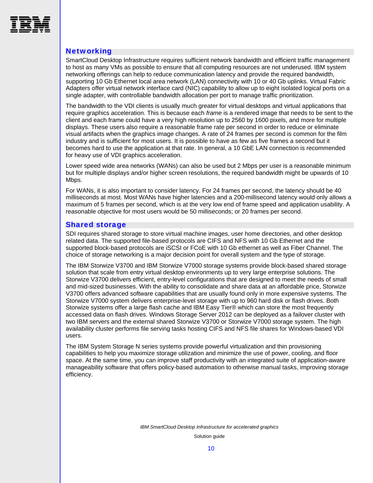<span id="page-11-0"></span>

#### **Networking**

SmartCloud Desktop Infrastructure requires sufficient network bandwidth and efficient traffic management to host as many VMs as possible to ensure that all computing resources are not underused. IBM system networking offerings can help to reduce communication latency and provide the required bandwidth, supporting 10 Gb Ethernet local area network (LAN) connectivity with 10 or 40 Gb uplinks. Virtual Fabric Adapters offer virtual network interface card (NIC) capability to allow up to eight isolated logical ports on a single adapter, with controllable bandwidth allocation per port to manage traffic prioritization.

The bandwidth to the VDI clients is usually much greater for virtual desktops and virtual applications that require graphics acceleration. This is because each *frame* is a rendered image that needs to be sent to the client and each frame could have a very high resolution up to 2560 by 1600 pixels, and more for multiple displays. These users also require a reasonable frame rate per second in order to reduce or eliminate visual artifacts when the graphics image changes. A rate of 24 frames per second is common for the film industry and is sufficient for most users. It is possible to have as few as five frames a second but it becomes hard to use the application at that rate. In general, a 10 GbE LAN connection is recommended for heavy use of VDI graphics acceleration.

Lower speed wide area networks (WANs) can also be used but 2 Mbps per user is a reasonable minimum but for multiple displays and/or higher screen resolutions, the required bandwidth might be upwards of 10 Mbps.

For WANs, it is also important to consider latency. For 24 frames per second, the latency should be 40 milliseconds at most. Most WANs have higher latencies and a 200-millisecond latency would only allows a maximum of 5 frames per second, which is at the very low end of frame speed and application usability. A reasonable objective for most users would be 50 milliseconds; or 20 frames per second.

#### <span id="page-11-1"></span>Shared storage

SDI requires shared storage to store virtual machine images, user home directories, and other desktop related data. The supported file-based protocols are CIFS and NFS with 10 Gb Ethernet and the supported block-based protocols are iSCSI or FCoE with 10 Gb ethernet as well as Fiber Channel. The choice of storage networking is a major decision point for overall system and the type of storage.

The IBM Storwize V3700 and IBM Storwize V7000 storage systems provide block-based shared storage solution that scale from entry virtual desktop environments up to very large enterprise solutions. The Storwize V3700 delivers efficient, entry-level configurations that are designed to meet the needs of small and mid-sized businesses. With the ability to consolidate and share data at an affordable price, Storwize V3700 offers advanced software capabilities that are usually found only in more expensive systems. The Storwize V7000 system delivers enterprise-level storage with up to 960 hard disk or flash drives. Both Storwize systems offer a large flash cache and IBM Easy Tier® which can store the most frequently accessed data on flash drives. Windows Storage Server 2012 can be deployed as a failover cluster with two IBM servers and the external shared Storwize V3700 or Storwize V7000 storage system. The high availability cluster performs file serving tasks hosting CIFS and NFS file shares for Windows-based VDI users.

The IBM System Storage N series systems provide powerful virtualization and thin provisioning capabilities to help you maximize storage utilization and minimize the use of power, cooling, and floor space. At the same time, you can improve staff productivity with an integrated suite of application-aware manageability software that offers policy-based automation to otherwise manual tasks, improving storage efficiency.

*IBM SmartCloud Desktop Infrastructure for accelerated graphics*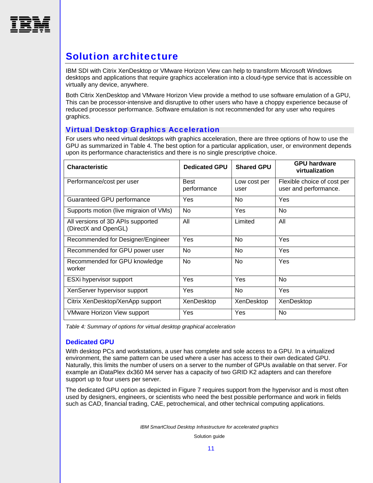<span id="page-12-0"></span>

# Solution architecture

IBM SDI with Citrix XenDesktop or VMware Horizon View can help to transform Microsoft Windows desktops and applications that require graphics acceleration into a cloud-type service that is accessible on virtually any device, anywhere.

Both Citrix XenDesktop and VMware Horizon View provide a method to use software emulation of a GPU, This can be processor-intensive and disruptive to other users who have a choppy experience because of reduced processor performance. Software emulation is not recommended for any user who requires graphics.

#### <span id="page-12-1"></span>Virtual Desktop Graphics Acceleration

For users who need virtual desktops with graphics acceleration, there are three options of how to use the GPU as summarized in [Table 4.](#page-12-2) The best option for a particular application, user, or environment depends upon its performance characteristics and there is no single prescriptive choice.

| <b>Characteristic</b>                                     | <b>Dedicated GPU</b>       | <b>Shared GPU</b>    | <b>GPU hardware</b><br>virtualization                |
|-----------------------------------------------------------|----------------------------|----------------------|------------------------------------------------------|
| Performance/cost per user                                 | <b>Best</b><br>performance | Low cost per<br>user | Flexible choice of cost per<br>user and performance. |
| Guaranteed GPU performance                                | Yes                        | <b>No</b>            | Yes                                                  |
| Supports motion (live migraion of VMs)                    | No.                        | Yes                  | No.                                                  |
| All versions of 3D APIs supported<br>(DirectX and OpenGL) | All                        | Limited              | All                                                  |
| Recommended for Designer/Engineer                         | Yes                        | <b>No</b>            | Yes                                                  |
| Recommended for GPU power user                            | <b>No</b>                  | <b>No</b>            | <b>Yes</b>                                           |
| Recommended for GPU knowledge<br>worker                   | No                         | <b>No</b>            | Yes                                                  |
| ESXi hypervisor support                                   | Yes                        | Yes                  | <b>No</b>                                            |
| XenServer hypervisor support                              | Yes                        | <b>No</b>            | Yes                                                  |
| Citrix XenDesktop/XenApp support                          | XenDesktop                 | XenDesktop           | XenDesktop                                           |
| <b>VMware Horizon View support</b>                        | Yes                        | Yes                  | No                                                   |

<span id="page-12-2"></span>*Table 4: Summary of options for virtual desktop graphical acceleration* 

#### **Dedicated GPU**

With desktop PCs and workstations, a user has complete and sole access to a GPU. In a virtualized environment, the same pattern can be used where a user has access to their own dedicated GPU. Naturally, this limits the number of users on a server to the number of GPUs available on that server. For example an iDataPlex dx360 M4 server has a capacity of two GRID K2 adapters and can therefore support up to four users per server.

The dedicated GPU option as depicted in [Figure 7](#page-13-0) requires support from the hypervisor and is most often used by designers, engineers, or scientists who need the best possible performance and work in fields such as CAD, financial trading, CAE, petrochemical, and other technical computing applications.

*IBM SmartCloud Desktop Infrastructure for accelerated graphics*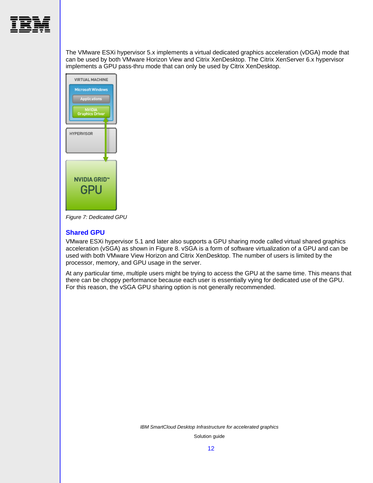

The VMware ESXi hypervisor 5.x implements a virtual dedicated graphics acceleration (vDGA) mode that can be used by both VMware Horizon View and Citrix XenDesktop. The Citrix XenServer 6.x hypervisor implements a GPU pass-thru mode that can only be used by Citrix XenDesktop.



<span id="page-13-0"></span>*Figure 7: Dedicated GPU* 

#### **Shared GPU**

VMware ESXi hypervisor 5.1 and later also supports a GPU sharing mode called virtual shared graphics acceleration (vSGA) as shown in [Figure 8](#page-14-1). vSGA is a form of software virtualization of a GPU and can be used with both VMware View Horizon and Citrix XenDesktop. The number of users is limited by the processor, memory, and GPU usage in the server.

At any particular time, multiple users might be trying to access the GPU at the same time. This means that there can be choppy performance because each user is essentially vying for dedicated use of the GPU. For this reason, the vSGA GPU sharing option is not generally recommended.

*IBM SmartCloud Desktop Infrastructure for accelerated graphics*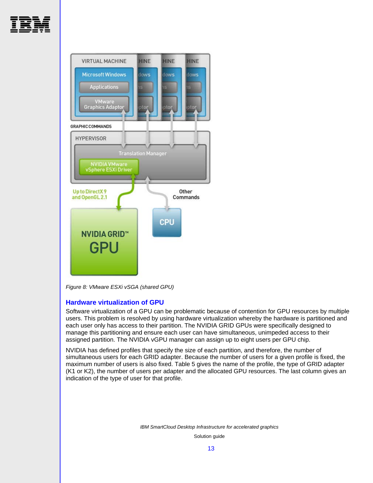



*Figure 8: VMware ESXi vSGA (shared GPU)* 

#### <span id="page-14-1"></span>**Hardware virtualization of GPU**

<span id="page-14-0"></span>Software virtualization of a GPU can be problematic because of contention for GPU resources by multiple users. This problem is resolved by using hardware virtualization whereby the hardware is partitioned and each user only has access to their partition. The NVIDIA GRID GPUs were specifically designed to manage this partitioning and ensure each user can have simultaneous, unimpeded access to their assigned partition. The NVIDIA vGPU manager can assign up to eight users per GPU chip.

NVIDIA has defined profiles that specify the size of each partition, and therefore, the number of simultaneous users for each GRID adapter. Because the number of users for a given profile is fixed, the maximum number of users is also fixed. [Table 5](#page-15-1) gives the name of the profile, the type of GRID adapter (K1 or K2), the number of users per adapter and the allocated GPU resources. The last column gives an indication of the type of user for that profile.

*IBM SmartCloud Desktop Infrastructure for accelerated graphics*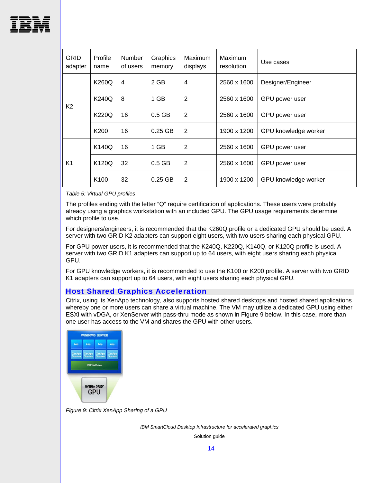

| <b>GRID</b><br>adapter | Profile<br>name  | Number<br>of users | Graphics<br>memory | Maximum<br>displays | Maximum<br>resolution | Use cases            |
|------------------------|------------------|--------------------|--------------------|---------------------|-----------------------|----------------------|
|                        | K260Q            | 4                  | 2 GB               | 4                   | 2560 x 1600           | Designer/Engineer    |
|                        | <b>K240Q</b>     | 8                  | 1 GB               | 2                   | 2560 x 1600           | GPU power user       |
| K <sub>2</sub>         | K220Q            | 16                 | $0.5$ GB           | $\overline{2}$      | 2560 x 1600           | GPU power user       |
|                        | K <sub>200</sub> | 16                 | $0.25$ GB          | $\overline{2}$      | 1900 x 1200           | GPU knowledge worker |
|                        | K140Q            | 16                 | 1 GB               | 2                   | 2560 x 1600           | GPU power user       |
| K <sub>1</sub>         | K120Q            | 32                 | $0.5$ GB           | $\overline{2}$      | 2560 x 1600           | GPU power user       |
|                        | K <sub>100</sub> | 32                 | $0.25$ GB          | $\overline{2}$      | 1900 x 1200           | GPU knowledge worker |

<span id="page-15-1"></span>*Table 5: Virtual GPU profiles* 

The profiles ending with the letter "Q" require certification of applications. These users were probably already using a graphics workstation with an included GPU. The GPU usage requirements determine which profile to use.

For designers/engineers, it is recommended that the K260Q profile or a dedicated GPU should be used. A server with two GRID K2 adapters can support eight users, with two users sharing each physical GPU.

For GPU power users, it is recommended that the K240Q, K220Q, K140Q, or K120Q profile is used. A server with two GRID K1 adapters can support up to 64 users, with eight users sharing each physical GPU.

For GPU knowledge workers, it is recommended to use the K100 or K200 profile. A server with two GRID K1 adapters can support up to 64 users, with eight users sharing each physical GPU.

#### Host Shared Graphics Acceleration

<span id="page-15-0"></span>Citrix, using its XenApp technology, also supports hosted shared desktops and hosted shared applications whereby one or more users can share a virtual machine. The VM may utilize a dedicated GPU using either ESXi with vDGA, or XenServer with pass-thru mode as shown in [Figure 9](#page-15-2) below. In this case, more than one user has access to the VM and shares the GPU with other users.



<span id="page-15-2"></span>*Figure 9: Citrix XenApp Sharing of a GPU* 

*IBM SmartCloud Desktop Infrastructure for accelerated graphics*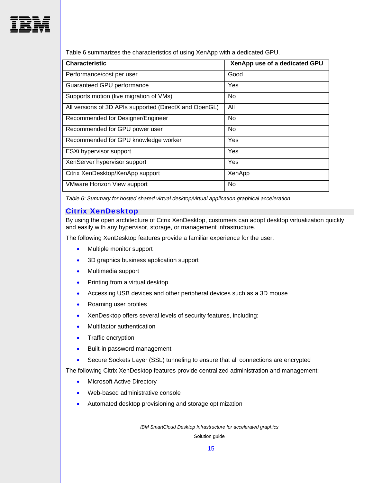

[Table 6](#page-16-1) summarizes the characteristics of using XenApp with a dedicated GPU.

| <b>Characteristic</b>                                  | XenApp use of a dedicated GPU |
|--------------------------------------------------------|-------------------------------|
| Performance/cost per user                              | Good                          |
| Guaranteed GPU performance                             | Yes                           |
| Supports motion (live migration of VMs)                | No.                           |
| All versions of 3D APIs supported (DirectX and OpenGL) | All                           |
| Recommended for Designer/Engineer                      | No.                           |
| Recommended for GPU power user                         | No.                           |
| Recommended for GPU knowledge worker                   | Yes                           |
| ESXi hypervisor support                                | Yes                           |
| XenServer hypervisor support                           | Yes                           |
| Citrix XenDesktop/XenApp support                       | XenApp                        |
| <b>VMware Horizon View support</b>                     | No                            |

<span id="page-16-1"></span>*Table 6: Summary for hosted shared virtual desktop/virtual application graphical acceleration* 

#### Citrix XenDesktop

<span id="page-16-0"></span>By using the open architecture of Citrix XenDesktop, customers can adopt desktop virtualization quickly and easily with any hypervisor, storage, or management infrastructure.

The following XenDesktop features provide a familiar experience for the user:

- Multiple monitor support
- 3D graphics business application support
- Multimedia support
- Printing from a virtual desktop
- Accessing USB devices and other peripheral devices such as a 3D mouse
- Roaming user profiles
- XenDesktop offers several levels of security features, including:
- Multifactor authentication
- Traffic encryption
- **•** Built-in password management
- Secure Sockets Layer (SSL) tunneling to ensure that all connections are encrypted

The following Citrix XenDesktop features provide centralized administration and management:

- Microsoft Active Directory
- Web-based administrative console
- Automated desktop provisioning and storage optimization

*IBM SmartCloud Desktop Infrastructure for accelerated graphics*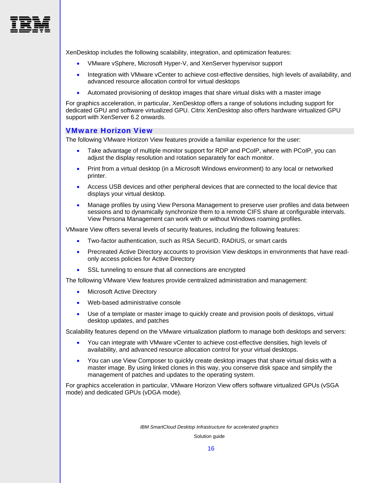

XenDesktop includes the following scalability, integration, and optimization features:

- VMware vSphere, Microsoft Hyper-V, and XenServer hypervisor support
- Integration with VMware vCenter to achieve cost-effective densities, high levels of availability, and advanced resource allocation control for virtual desktops
- Automated provisioning of desktop images that share virtual disks with a master image

For graphics acceleration, in particular, XenDesktop offers a range of solutions including support for dedicated GPU and software virtualized GPU. Citrix XenDesktop also offers hardware virtualized GPU support with XenServer 6.2 onwards.

#### <span id="page-17-0"></span>VMware Horizon View

The following VMware Horizon View features provide a familiar experience for the user:

- Take advantage of multiple monitor support for RDP and PCoIP, where with PCoIP, you can adjust the display resolution and rotation separately for each monitor.
- Print from a virtual desktop (in a Microsoft Windows environment) to any local or networked printer.
- Access USB devices and other peripheral devices that are connected to the local device that displays your virtual desktop.
- Manage profiles by using View Persona Management to preserve user profiles and data between sessions and to dynamically synchronize them to a remote CIFS share at configurable intervals. View Persona Management can work with or without Windows roaming profiles.

VMware View offers several levels of security features, including the following features:

- Two-factor authentication, such as RSA SecurID, RADIUS, or smart cards
- Precreated Active Directory accounts to provision View desktops in environments that have readonly access policies for Active Directory
- SSL tunneling to ensure that all connections are encrypted

The following VMware View features provide centralized administration and management:

- Microsoft Active Directory
- Web-based administrative console
- Use of a template or master image to quickly create and provision pools of desktops, virtual desktop updates, and patches

Scalability features depend on the VMware virtualization platform to manage both desktops and servers:

- You can integrate with VMware vCenter to achieve cost-effective densities, high levels of availability, and advanced resource allocation control for your virtual desktops.
- You can use View Composer to quickly create desktop images that share virtual disks with a master image. By using linked clones in this way, you conserve disk space and simplify the management of patches and updates to the operating system.

For graphics acceleration in particular, VMware Horizon View offers software virtualized GPUs (vSGA mode) and dedicated GPUs (vDGA mode).

*IBM SmartCloud Desktop Infrastructure for accelerated graphics*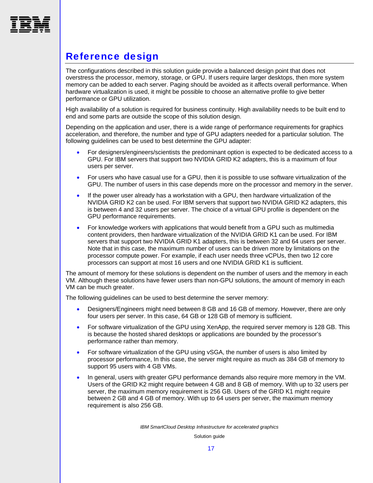<span id="page-18-0"></span>

# Reference design

The configurations described in this solution guide provide a balanced design point that does not overstress the processor, memory, storage, or GPU. If users require larger desktops, then more system memory can be added to each server. Paging should be avoided as it affects overall performance. When hardware virtualization is used, it might be possible to choose an alternative profile to give better performance or GPU utilization.

High availability of a solution is required for business continuity. High availability needs to be built end to end and some parts are outside the scope of this solution design.

Depending on the application and user, there is a wide range of performance requirements for graphics acceleration, and therefore, the number and type of GPU adapters needed for a particular solution. The following guidelines can be used to best determine the GPU adapter:

- For designers/engineers/scientists the predominant option is expected to be dedicated access to a GPU. For IBM servers that support two NVIDIA GRID K2 adapters, this is a maximum of four users per server.
- For users who have casual use for a GPU, then it is possible to use software virtualization of the GPU. The number of users in this case depends more on the processor and memory in the server.
- If the power user already has a workstation with a GPU, then hardware virtualization of the NVIDIA GRID K2 can be used. For IBM servers that support two NVIDIA GRID K2 adapters, this is between 4 and 32 users per server. The choice of a virtual GPU profile is dependent on the GPU performance requirements.
- For knowledge workers with applications that would benefit from a GPU such as multimedia content providers, then hardware virtualization of the NVIDIA GRID K1 can be used. For IBM servers that support two NVIDIA GRID K1 adapters, this is between 32 and 64 users per server. Note that in this case, the maximum number of users can be driven more by limitations on the processor compute power. For example, if each user needs three vCPUs, then two 12 core processors can support at most 16 users and one NVIDIA GRID K1 is sufficient.

The amount of memory for these solutions is dependent on the number of users and the memory in each VM. Although these solutions have fewer users than non-GPU solutions, the amount of memory in each VM can be much greater.

The following guidelines can be used to best determine the server memory:

- Designers/Engineers might need between 8 GB and 16 GB of memory. However, there are only four users per server. In this case, 64 GB or 128 GB of memory is sufficient.
- For software virtualization of the GPU using XenApp, the required server memory is 128 GB. This is because the hosted shared desktops or applications are bounded by the processor's performance rather than memory.
- For software virtualization of the GPU using vSGA, the number of users is also limited by processor performance, In this case, the server might require as much as 384 GB of memory to support 95 users with 4 GB VMs.
- In general, users with greater GPU performance demands also require more memory in the VM. Users of the GRID K2 might require between 4 GB and 8 GB of memory. With up to 32 users per server, the maximum memory requirement is 256 GB. Users of the GRID K1 might require between 2 GB and 4 GB of memory. With up to 64 users per server, the maximum memory requirement is also 256 GB.

*IBM SmartCloud Desktop Infrastructure for accelerated graphics*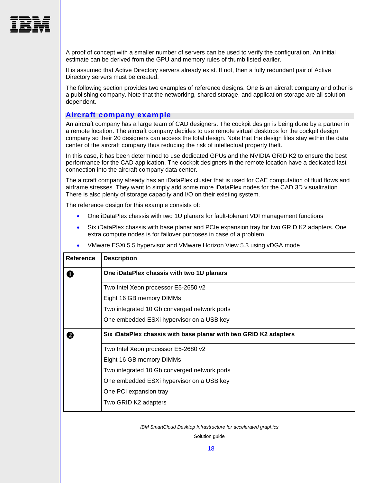

A proof of concept with a smaller number of servers can be used to verify the configuration. An initial estimate can be derived from the GPU and memory rules of thumb listed earlier.

It is assumed that Active Directory servers already exist. If not, then a fully redundant pair of Active Directory servers must be created.

The following section provides two examples of reference designs. One is an aircraft company and other is a publishing company. Note that the networking, shared storage, and application storage are all solution dependent.

#### <span id="page-19-0"></span>Aircraft company example

An aircraft company has a large team of CAD designers. The cockpit design is being done by a partner in a remote location. The aircraft company decides to use remote virtual desktops for the cockpit design company so their 20 designers can access the total design. Note that the design files stay within the data center of the aircraft company thus reducing the risk of intellectual property theft.

In this case, it has been determined to use dedicated GPUs and the NVIDIA GRID K2 to ensure the best performance for the CAD application. The cockpit designers in the remote location have a dedicated fast connection into the aircraft company data center.

The aircraft company already has an iDataPlex cluster that is used for CAE computation of fluid flows and airframe stresses. They want to simply add some more iDataPlex nodes for the CAD 3D visualization. There is also plenty of storage capacity and I/O on their existing system.

The reference design for this example consists of:

- One iDataPlex chassis with two 1U planars for fault-tolerant VDI management functions
- Six iDataPlex chassis with base planar and PCIe expansion tray for two GRID K2 adapters. One extra compute nodes is for failover purposes in case of a problem.

| <b>Reference</b> | <b>Description</b>                                               |
|------------------|------------------------------------------------------------------|
| O                | One iDataPlex chassis with two 1U planars                        |
|                  | Two Intel Xeon processor E5-2650 v2                              |
|                  | Eight 16 GB memory DIMMs                                         |
|                  | Two integrated 10 Gb converged network ports                     |
|                  | One embedded ESXi hypervisor on a USB key                        |
| 2                | Six iDataPlex chassis with base planar with two GRID K2 adapters |
|                  | Two Intel Xeon processor E5-2680 v2                              |
|                  | Eight 16 GB memory DIMMs                                         |
|                  | Two integrated 10 Gb converged network ports                     |
|                  | One embedded ESXi hypervisor on a USB key                        |
|                  | One PCI expansion tray                                           |
|                  | Two GRID K2 adapters                                             |

VMware ESXi 5.5 hypervisor and VMware Horizon View 5.3 using vDGA mode

*IBM SmartCloud Desktop Infrastructure for accelerated graphics*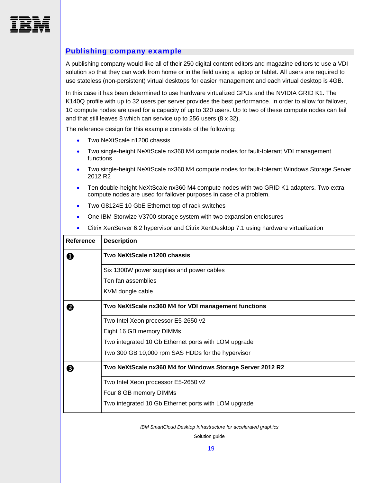<span id="page-20-0"></span>

#### Publishing company example

A publishing company would like all of their 250 digital content editors and magazine editors to use a VDI solution so that they can work from home or in the field using a laptop or tablet. All users are required to use stateless (non-persistent) virtual desktops for easier management and each virtual desktop is 4GB.

In this case it has been determined to use hardware virtualized GPUs and the NVIDIA GRID K1. The K140Q profile with up to 32 users per server provides the best performance. In order to allow for failover, 10 compute nodes are used for a capacity of up to 320 users. Up to two of these compute nodes can fail and that still leaves 8 which can service up to 256 users (8 x 32).

The reference design for this example consists of the following:

- Two NeXtScale n1200 chassis
- Two single-height NeXtScale nx360 M4 compute nodes for fault-tolerant VDI management functions
- Two single-height NeXtScale nx360 M4 compute nodes for fault-tolerant Windows Storage Server 2012 R2
- Ten double-height NeXtScale nx360 M4 compute nodes with two GRID K1 adapters. Two extra compute nodes are used for failover purposes in case of a problem.
- Two G8124E 10 GbE Ethernet top of rack switches
- One IBM Storwize V3700 storage system with two expansion enclosures
- Citrix XenServer 6.2 hypervisor and Citrix XenDesktop 7.1 using hardware virtualization

| <b>Reference</b> | <b>Description</b>                                        |
|------------------|-----------------------------------------------------------|
| O                | Two NeXtScale n1200 chassis                               |
|                  | Six 1300W power supplies and power cables                 |
|                  | Ten fan assemblies                                        |
|                  | KVM dongle cable                                          |
| 2                | Two NeXtScale nx360 M4 for VDI management functions       |
|                  | Two Intel Xeon processor E5-2650 v2                       |
|                  | Eight 16 GB memory DIMMs                                  |
|                  | Two integrated 10 Gb Ethernet ports with LOM upgrade      |
|                  | Two 300 GB 10,000 rpm SAS HDDs for the hypervisor         |
| ❸                | Two NeXtScale nx360 M4 for Windows Storage Server 2012 R2 |
|                  | Two Intel Xeon processor E5-2650 v2                       |
|                  | Four 8 GB memory DIMMs                                    |
|                  | Two integrated 10 Gb Ethernet ports with LOM upgrade      |

*IBM SmartCloud Desktop Infrastructure for accelerated graphics*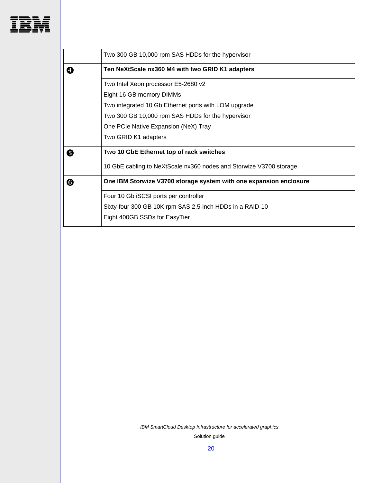

|   | Two 300 GB 10,000 rpm SAS HDDs for the hypervisor                  |
|---|--------------------------------------------------------------------|
| 4 | Ten NeXtScale nx360 M4 with two GRID K1 adapters                   |
|   | Two Intel Xeon processor E5-2680 v2                                |
|   | Eight 16 GB memory DIMMs                                           |
|   | Two integrated 10 Gb Ethernet ports with LOM upgrade               |
|   | Two 300 GB 10,000 rpm SAS HDDs for the hypervisor                  |
|   | One PCIe Native Expansion (NeX) Tray                               |
|   | Two GRID K1 adapters                                               |
| 0 | Two 10 GbE Ethernet top of rack switches                           |
|   | 10 GbE cabling to NeXtScale nx360 nodes and Storwize V3700 storage |
| 6 | One IBM Storwize V3700 storage system with one expansion enclosure |
|   | Four 10 Gb iSCSI ports per controller                              |
|   | Sixty-four 300 GB 10K rpm SAS 2.5-inch HDDs in a RAID-10           |
|   | Eight 400GB SSDs for EasyTier                                      |
|   |                                                                    |

*IBM SmartCloud Desktop Infrastructure for accelerated graphics*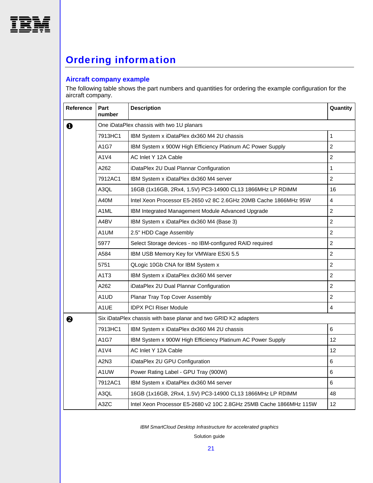<span id="page-22-0"></span>

# Ordering information

#### **Aircraft company example**

The following table shows the part numbers and quantities for ordering the example configuration for the aircraft company.

| Reference   | Part<br>number    | <b>Description</b>                                                 | Quantity        |
|-------------|-------------------|--------------------------------------------------------------------|-----------------|
| $\mathbf 0$ |                   | One iDataPlex chassis with two 1U planars                          |                 |
|             | 7913HC1           | IBM System x iDataPlex dx360 M4 2U chassis                         | $\mathbf{1}$    |
|             | A1G7              | IBM System x 900W High Efficiency Platinum AC Power Supply         | $\overline{2}$  |
|             | A1V4              | AC Inlet Y 12A Cable                                               | $\overline{2}$  |
|             | A262              | iDataPlex 2U Dual Plannar Configuration                            | 1               |
|             | 7912AC1           | IBM System x iDataPlex dx360 M4 server                             | $\overline{2}$  |
|             | A3QL              | 16GB (1x16GB, 2Rx4, 1.5V) PC3-14900 CL13 1866MHz LP RDIMM          | 16              |
|             | A40M              | Intel Xeon Processor E5-2650 v2 8C 2.6GHz 20MB Cache 1866MHz 95W   | 4               |
|             | A <sub>1</sub> ML | IBM Integrated Management Module Advanced Upgrade                  | $\overline{c}$  |
|             | A4BV              | IBM System x iDataPlex dx360 M4 (Base 3)                           | $\overline{2}$  |
|             | A1UM              | 2.5" HDD Cage Assembly                                             | $\overline{2}$  |
|             | 5977              | Select Storage devices - no IBM-configured RAID required           | $\overline{2}$  |
|             | A584              | IBM USB Memory Key for VMWare ESXi 5.5                             | $\overline{2}$  |
|             | 5751              | QLogic 10Gb CNA for IBM System x                                   | $\overline{2}$  |
|             | A1T3              | IBM System x iDataPlex dx360 M4 server                             | $\overline{2}$  |
|             | A262              | iDataPlex 2U Dual Plannar Configuration                            | $\overline{c}$  |
|             | A1UD              | Planar Tray Top Cover Assembly                                     | $\overline{2}$  |
|             | A1UE              | <b>IDPX PCI Riser Module</b>                                       | 4               |
| ❷           |                   | Six iDataPlex chassis with base planar and two GRID K2 adapters    |                 |
|             | 7913HC1           | IBM System x iDataPlex dx360 M4 2U chassis                         | 6               |
|             | A1G7              | IBM System x 900W High Efficiency Platinum AC Power Supply         | 12              |
|             | A1V4              | AC Inlet Y 12A Cable                                               | 12              |
|             | A2N3              | iDataPlex 2U GPU Configuration                                     | 6               |
|             | A1UW              | Power Rating Label - GPU Tray (900W)                               | 6               |
|             | 7912AC1           | IBM System x iDataPlex dx360 M4 server                             | 6               |
|             | A3QL              | 16GB (1x16GB, 2Rx4, 1.5V) PC3-14900 CL13 1866MHz LP RDIMM          | 48              |
|             | A3ZC              | Intel Xeon Processor E5-2680 v2 10C 2.8GHz 25MB Cache 1866MHz 115W | 12 <sup>2</sup> |

*IBM SmartCloud Desktop Infrastructure for accelerated graphics*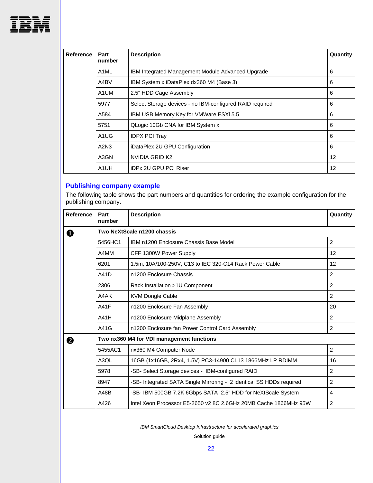

| <b>Reference</b> | Part<br>number                                   | <b>Description</b>                                       | Quantity |
|------------------|--------------------------------------------------|----------------------------------------------------------|----------|
|                  | A <sub>1</sub> ML                                | IBM Integrated Management Module Advanced Upgrade        | 6        |
|                  | IBM System x iDataPlex dx360 M4 (Base 3)<br>A4BV |                                                          | 6        |
|                  | A <sub>1</sub> UM                                | 2.5" HDD Cage Assembly                                   | 6        |
|                  | 5977                                             | Select Storage devices - no IBM-configured RAID required | 6        |
|                  | A584<br>IBM USB Memory Key for VMWare ESXi 5.5   |                                                          | 6        |
|                  | QLogic 10Gb CNA for IBM System x<br>5751         |                                                          |          |
|                  | A <sub>1</sub> U <sub>G</sub>                    | <b>IDPX PCI Tray</b>                                     | 6        |
|                  | A2N3                                             | iDataPlex 2U GPU Configuration                           | 6        |
|                  | A3GN                                             | NVIDIA GRID K2                                           | 12       |
|                  | A <sub>1</sub> UH                                | iDPx 2U GPU PCI Riser                                    | 12       |

## **Publishing company example**

The following table shows the part numbers and quantities for ordering the example configuration for the publishing company.

| <b>Reference</b> | Part<br>number                            | <b>Description</b>                                                   | Quantity       |  |  |
|------------------|-------------------------------------------|----------------------------------------------------------------------|----------------|--|--|
| O                | Two NeXtScale n1200 chassis               |                                                                      |                |  |  |
|                  | 5456HC1                                   | IBM n1200 Enclosure Chassis Base Model                               | $\overline{2}$ |  |  |
|                  | A4MM                                      | CFF 1300W Power Supply                                               | 12             |  |  |
|                  | 6201                                      | 1.5m, 10A/100-250V, C13 to IEC 320-C14 Rack Power Cable              | 12             |  |  |
|                  | A41D                                      | n1200 Enclosure Chassis                                              | 2              |  |  |
|                  | 2306                                      | Rack Installation >1U Component                                      | 2              |  |  |
|                  | A4AK                                      | <b>KVM Dongle Cable</b>                                              | 2              |  |  |
|                  | A41F                                      | n1200 Enclosure Fan Assembly                                         | 20             |  |  |
|                  | A41H                                      | n1200 Enclosure Midplane Assembly                                    | 2              |  |  |
|                  | A41G                                      | n1200 Enclosure fan Power Control Card Assembly                      | 2              |  |  |
| 0                | Two nx360 M4 for VDI management functions |                                                                      |                |  |  |
|                  | 5455AC1                                   | nx360 M4 Computer Node                                               | 2              |  |  |
|                  | A3QL                                      | 16GB (1x16GB, 2Rx4, 1.5V) PC3-14900 CL13 1866MHz LP RDIMM            | 16             |  |  |
|                  | 5978                                      | -SB- Select Storage devices - IBM-configured RAID                    | 2              |  |  |
|                  | 8947                                      | -SB- Integrated SATA Single Mirroring - 2 identical SS HDDs required | 2              |  |  |
|                  | A48B                                      | -SB- IBM 500GB 7.2K 6Gbps SATA 2.5" HDD for NeXtScale System         | 4              |  |  |
|                  | A426                                      | Intel Xeon Processor E5-2650 v2 8C 2.6GHz 20MB Cache 1866MHz 95W     | 2              |  |  |

*IBM SmartCloud Desktop Infrastructure for accelerated graphics*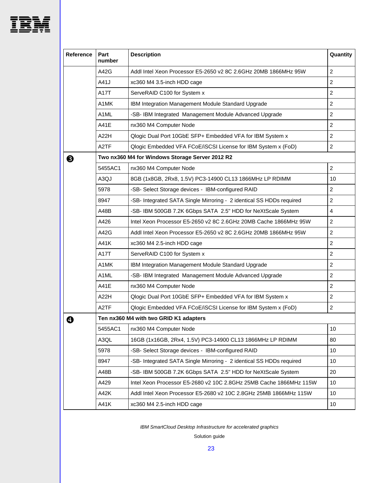

| Reference | Part<br>number                                  | <b>Description</b>                                                   | Quantity         |  |  |
|-----------|-------------------------------------------------|----------------------------------------------------------------------|------------------|--|--|
|           | A42G                                            | Addl Intel Xeon Processor E5-2650 v2 8C 2.6GHz 20MB 1866MHz 95W      | $\overline{c}$   |  |  |
|           | A41J                                            | xc360 M4 3.5-inch HDD cage                                           | $\boldsymbol{2}$ |  |  |
|           | A17T                                            | ServeRAID C100 for System x                                          | $\overline{c}$   |  |  |
|           | A1MK                                            | IBM Integration Management Module Standard Upgrade                   | $\overline{c}$   |  |  |
|           | A <sub>1</sub> ML                               | -SB- IBM Integrated Management Module Advanced Upgrade               | $\overline{2}$   |  |  |
|           | <b>A41E</b>                                     | nx360 M4 Computer Node                                               | $\overline{2}$   |  |  |
|           | A22H                                            | Qlogic Dual Port 10GbE SFP+ Embedded VFA for IBM System x            | 2                |  |  |
|           | A <sub>2</sub> TF                               | Qlogic Embedded VFA FCoE/iSCSI License for IBM System x (FoD)        | $\overline{c}$   |  |  |
| ❸         | Two nx360 M4 for Windows Storage Server 2012 R2 |                                                                      |                  |  |  |
|           | 5455AC1                                         | nx360 M4 Computer Node                                               | $\overline{c}$   |  |  |
|           | A3QJ                                            | 8GB (1x8GB, 2Rx8, 1.5V) PC3-14900 CL13 1866MHz LP RDIMM              | 10               |  |  |
|           | 5978                                            | -SB- Select Storage devices - IBM-configured RAID                    | $\overline{c}$   |  |  |
|           | 8947                                            | -SB- Integrated SATA Single Mirroring - 2 identical SS HDDs required | $\overline{c}$   |  |  |
|           | A48B                                            | -SB- IBM 500GB 7.2K 6Gbps SATA 2.5" HDD for NeXtScale System         | $\overline{4}$   |  |  |
|           | A426                                            | Intel Xeon Processor E5-2650 v2 8C 2.6GHz 20MB Cache 1866MHz 95W     | $\overline{2}$   |  |  |
|           | A42G                                            | Addl Intel Xeon Processor E5-2650 v2 8C 2.6GHz 20MB 1866MHz 95W      | $\overline{c}$   |  |  |
|           | A41K                                            | xc360 M4 2.5-inch HDD cage                                           | $\overline{c}$   |  |  |
|           | A17T                                            | ServeRAID C100 for System x                                          | $\overline{c}$   |  |  |
|           | A1MK                                            | IBM Integration Management Module Standard Upgrade                   | $\overline{c}$   |  |  |
|           | A <sub>1</sub> ML                               | -SB- IBM Integrated Management Module Advanced Upgrade               | $\overline{c}$   |  |  |
|           | <b>A41E</b>                                     | nx360 M4 Computer Node                                               | $\overline{c}$   |  |  |
|           | A22H                                            | Qlogic Dual Port 10GbE SFP+ Embedded VFA for IBM System x            | $\overline{c}$   |  |  |
|           | A <sub>2</sub> TF                               | Qlogic Embedded VFA FCoE/iSCSI License for IBM System x (FoD)        | $\overline{c}$   |  |  |
| A         | Ten nx360 M4 with two GRID K1 adapters          |                                                                      |                  |  |  |
|           | 5455AC1                                         | nx360 M4 Computer Node                                               | 10               |  |  |
|           | A3QL                                            | 16GB (1x16GB, 2Rx4, 1.5V) PC3-14900 CL13 1866MHz LP RDIMM            | 80               |  |  |
|           | 5978                                            | -SB- Select Storage devices - IBM-configured RAID                    | 10               |  |  |
|           | 8947                                            | -SB- Integrated SATA Single Mirroring - 2 identical SS HDDs required | 10               |  |  |
|           | A48B                                            | -SB- IBM 500GB 7.2K 6Gbps SATA 2.5" HDD for NeXtScale System         | 20               |  |  |
|           | A429                                            | Intel Xeon Processor E5-2680 v2 10C 2.8GHz 25MB Cache 1866MHz 115W   | 10               |  |  |
|           | A42K                                            | Addl Intel Xeon Processor E5-2680 v2 10C 2.8GHz 25MB 1866MHz 115W    | 10               |  |  |
|           | A41K                                            | xc360 M4 2.5-inch HDD cage                                           | 10               |  |  |

*IBM SmartCloud Desktop Infrastructure for accelerated graphics*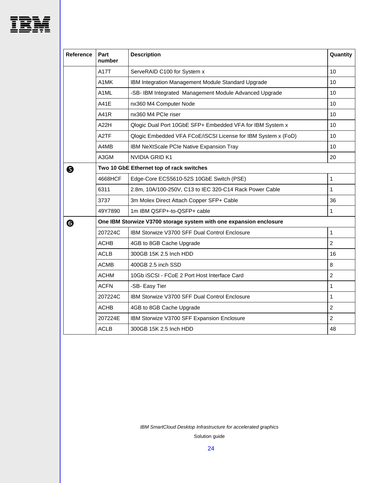

| <b>Reference</b> | Part<br>number                                                     | <b>Description</b>                                            | Quantity         |  |  |
|------------------|--------------------------------------------------------------------|---------------------------------------------------------------|------------------|--|--|
|                  | A17T                                                               | ServeRAID C100 for System x                                   | 10               |  |  |
|                  | A1MK                                                               | IBM Integration Management Module Standard Upgrade            | 10               |  |  |
|                  | A1ML                                                               | -SB- IBM Integrated Management Module Advanced Upgrade        | 10               |  |  |
|                  | A41E                                                               | nx360 M4 Computer Node                                        | 10               |  |  |
|                  | A41R                                                               | nx360 M4 PCIe riser                                           | 10               |  |  |
|                  | A22H                                                               | Qlogic Dual Port 10GbE SFP+ Embedded VFA for IBM System x     | 10               |  |  |
|                  | A <sub>2</sub> TF                                                  | Qlogic Embedded VFA FCoE/iSCSI License for IBM System x (FoD) | 10               |  |  |
|                  | A4MB                                                               | IBM NeXtScale PCIe Native Expansion Tray                      | 10               |  |  |
|                  | A3GM                                                               | NVIDIA GRID K1                                                | 20               |  |  |
| ❺                | Two 10 GbE Ethernet top of rack switches                           |                                                               |                  |  |  |
|                  | 4668HCF                                                            | Edge-Core ECS5610-52S 10GbE Switch (PSE)                      | 1                |  |  |
|                  | 6311                                                               | 2.8m, 10A/100-250V, C13 to IEC 320-C14 Rack Power Cable       | 1                |  |  |
|                  | 3737                                                               | 3m Molex Direct Attach Copper SFP+ Cable                      | 36               |  |  |
|                  | 49Y7890                                                            | 1m IBM QSFP+-to-QSFP+ cable                                   | 1                |  |  |
| ❻                | One IBM Storwize V3700 storage system with one expansion enclosure |                                                               |                  |  |  |
|                  | 207224C                                                            | IBM Storwize V3700 SFF Dual Control Enclosure                 | $\mathbf{1}$     |  |  |
|                  | <b>ACHB</b>                                                        | 4GB to 8GB Cache Upgrade                                      | $\overline{c}$   |  |  |
|                  | <b>ACLB</b>                                                        | 300GB 15K 2.5 Inch HDD                                        | 16               |  |  |
|                  | <b>ACMB</b>                                                        | 400GB 2.5 inch SSD                                            | 8                |  |  |
|                  | ACHM                                                               | 10Gb iSCSI - FCoE 2 Port Host Interface Card                  | $\boldsymbol{2}$ |  |  |
|                  | <b>ACFN</b>                                                        | -SB- Easy Tier                                                | $\mathbf{1}$     |  |  |
|                  | 207224C                                                            | IBM Storwize V3700 SFF Dual Control Enclosure                 | 1                |  |  |
|                  | <b>ACHB</b>                                                        | 4GB to 8GB Cache Upgrade                                      | $\overline{2}$   |  |  |
|                  | 207224E                                                            | IBM Storwize V3700 SFF Expansion Enclosure                    | $\overline{2}$   |  |  |
|                  | <b>ACLB</b>                                                        | 300GB 15K 2.5 Inch HDD                                        | 48               |  |  |

*IBM SmartCloud Desktop Infrastructure for accelerated graphics*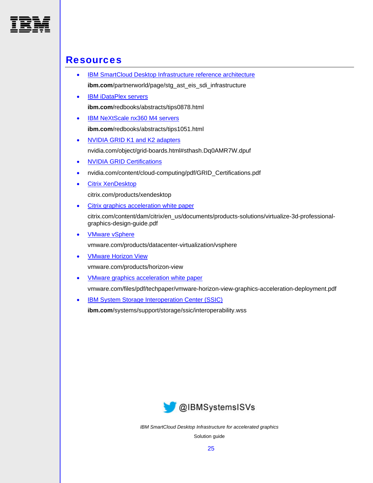<span id="page-26-0"></span>

### **Resources**

- **IBM SmartCloud Desktop Infrastructure reference architecture ibm.com**/partnerworld/page/stg\_ast\_eis\_sdi\_infrastructure
- **[IBM iDataPlex servers](http://www.redbooks.ibm.com/abstracts/tips0878.html) ibm.com**/redbooks/abstracts/tips0878.html
- [IBM NeXtScale nx360 M4 servers](http://www.redbooks.ibm.com/abstracts/tips1051.html) **ibm.com**/redbooks/abstracts/tips1051.html
- [NVIDIA GRID K1 and K2 adapters](http://www.nvidia.com/object/grid-boards.html#sthash.Dq0AMR7W.dpuf) nvidia.com/object/grid-boards.html#sthash.Dq0AMR7W.dpuf
- [NVIDIA GRID Certifications](http://www.nvidia.com/content/cloud-computing/pdf/GRID_Certifications.pdf)
- nvidia.com/content/cloud-computing/pdf/GRID\_Certifications.pdf
- [Citrix XenDesktop](http://www.citrix.com/products/xendesktop/overview.html)

citrix.com/products/xendesktop

• [Citrix graphics acceleration white paper](http://www.citrix.com/content/dam/citrix/en_us/documents/products-solutions/virtualize-3d-professional-graphics-design-guide.pdf?accessmode=direct)

citrix.com/content/dam/citrix/en\_us/documents/products-solutions/virtualize-3d-professionalgraphics-design-guide.pdf

• **VMware vSphere** 

vmware.com/products/datacenter-virtualization/vsphere

[VMware Horizon View](http://www.vmware.com/products/horizon-view)

vmware.com/products/horizon-view

- [VMware graphics acceleration white paper](https://www.vmware.com/files/pdf/techpaper/vmware-horizon-view-graphics-acceleration-deployment.pdf) vmware.com/files/pdf/techpaper/vmware-horizon-view-graphics-acceleration-deployment.pdf
- [IBM System Storage Interoperation Center \(SSIC\)](http://www-03.ibm.com/systems/support/storage/ssic/interoperability.wss) **ibm.com**/systems/support/storage/ssic/interoperability.wss



*IBM SmartCloud Desktop Infrastructure for accelerated graphics*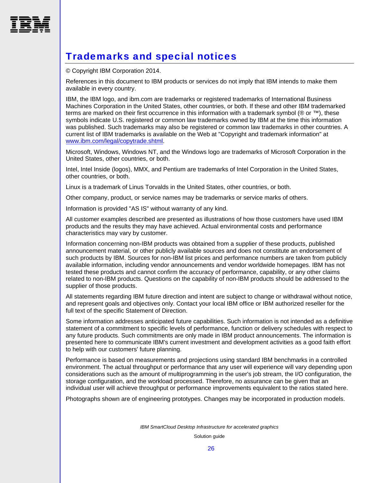<span id="page-27-0"></span>

# Trademarks and special notices

© Copyright IBM Corporation 2014.

References in this document to IBM products or services do not imply that IBM intends to make them available in every country.

IBM, the IBM logo, and ibm.com are trademarks or registered trademarks of International Business Machines Corporation in the United States, other countries, or both. If these and other IBM trademarked terms are marked on their first occurrence in this information with a trademark symbol ( $\textcircled{\tiny{R}}$  or  $\text{TM}$ ), these symbols indicate U.S. registered or common law trademarks owned by IBM at the time this information was published. Such trademarks may also be registered or common law trademarks in other countries. A current list of IBM trademarks is available on the Web at "Copyright and trademark information" at [www.ibm.com/legal/copytrade.shtml.](http://www.ibm.com/legal/copytrade.shtml)

Microsoft, Windows, Windows NT, and the Windows logo are trademarks of Microsoft Corporation in the United States, other countries, or both.

Intel, Intel Inside (logos), MMX, and Pentium are trademarks of Intel Corporation in the United States, other countries, or both.

Linux is a trademark of Linus Torvalds in the United States, other countries, or both.

Other company, product, or service names may be trademarks or service marks of others.

Information is provided "AS IS" without warranty of any kind.

All customer examples described are presented as illustrations of how those customers have used IBM products and the results they may have achieved. Actual environmental costs and performance characteristics may vary by customer.

Information concerning non-IBM products was obtained from a supplier of these products, published announcement material, or other publicly available sources and does not constitute an endorsement of such products by IBM. Sources for non-IBM list prices and performance numbers are taken from publicly available information, including vendor announcements and vendor worldwide homepages. IBM has not tested these products and cannot confirm the accuracy of performance, capability, or any other claims related to non-IBM products. Questions on the capability of non-IBM products should be addressed to the supplier of those products.

All statements regarding IBM future direction and intent are subject to change or withdrawal without notice, and represent goals and objectives only. Contact your local IBM office or IBM authorized reseller for the full text of the specific Statement of Direction.

Some information addresses anticipated future capabilities. Such information is not intended as a definitive statement of a commitment to specific levels of performance, function or delivery schedules with respect to any future products. Such commitments are only made in IBM product announcements. The information is presented here to communicate IBM's current investment and development activities as a good faith effort to help with our customers' future planning.

Performance is based on measurements and projections using standard IBM benchmarks in a controlled environment. The actual throughput or performance that any user will experience will vary depending upon considerations such as the amount of multiprogramming in the user's job stream, the I/O configuration, the storage configuration, and the workload processed. Therefore, no assurance can be given that an individual user will achieve throughput or performance improvements equivalent to the ratios stated here.

Photographs shown are of engineering prototypes. Changes may be incorporated in production models.

*IBM SmartCloud Desktop Infrastructure for accelerated graphics*